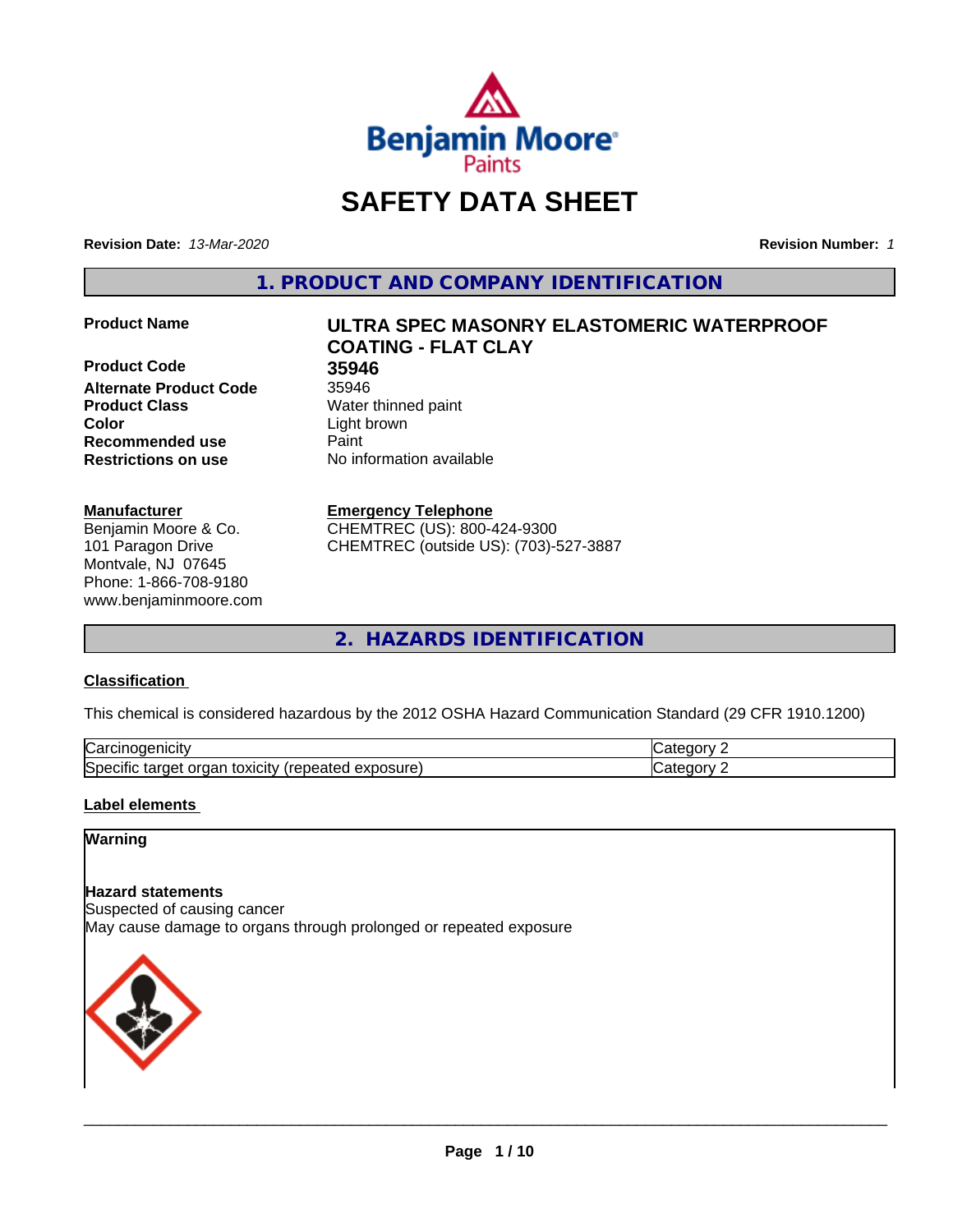

# **SAFETY DATA SHEET**

**Revision Date:** *13-Mar-2020* **Revision Number:** *1*

**1. PRODUCT AND COMPANY IDENTIFICATION**

**Product Code 35946 Alternate Product Code** 35946 **Product Class** Water thinned paint **Color** Light brown **Recommended use Caint Restrictions on use** No information available

#### **Manufacturer**

Benjamin Moore & Co. 101 Paragon Drive Montvale, NJ 07645 Phone: 1-866-708-9180 www.benjaminmoore.com

# **Product Name ULTRA SPEC MASONRY ELASTOMERIC WATERPROOF COATING - FLAT CLAY**

#### **Emergency Telephone**

CHEMTREC (US): 800-424-9300 CHEMTREC (outside US): (703)-527-3887

**2. HAZARDS IDENTIFICATION**

#### **Classification**

This chemical is considered hazardous by the 2012 OSHA Hazard Communication Standard (29 CFR 1910.1200)

| ∽<br>AICID<br>vai                                                                                                         | - 10       |
|---------------------------------------------------------------------------------------------------------------------------|------------|
| ∽<br><b>posure</b><br>exr<br>organ<br>Spe <sup>r</sup><br>target<br>toxicity<br>tar<br>repe.<br>CIHC<br>$\sim$ -different | ---<br>. . |

#### **Label elements**

## **Warning**

#### **Hazard statements**

Suspected of causing cancer May cause damage to organs through prolonged or repeated exposure

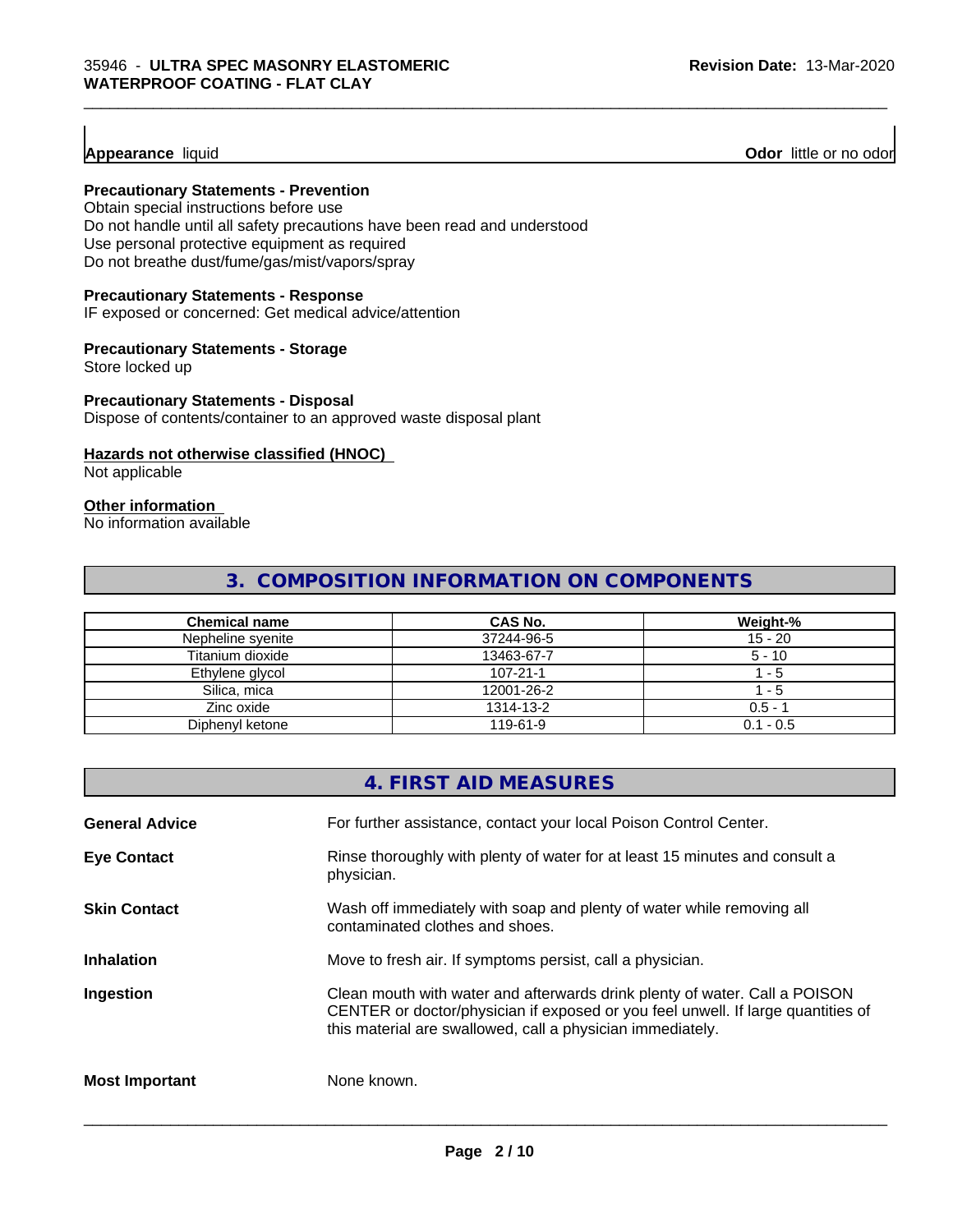#### **Appearance** liquid

**Odor** little or no odor

#### **Precautionary Statements - Prevention**

Obtain special instructions before use Do not handle until all safety precautions have been read and understood Use personal protective equipment as required Do not breathe dust/fume/gas/mist/vapors/spray

#### **Precautionary Statements - Response**

IF exposed or concerned: Get medical advice/attention

#### **Precautionary Statements - Storage**

Store locked up

#### **Precautionary Statements - Disposal**

Dispose of contents/container to an approved waste disposal plant

#### **Hazards not otherwise classified (HNOC)**

Not applicable

## **Other information**

No information available

## **3. COMPOSITION INFORMATION ON COMPONENTS**

\_\_\_\_\_\_\_\_\_\_\_\_\_\_\_\_\_\_\_\_\_\_\_\_\_\_\_\_\_\_\_\_\_\_\_\_\_\_\_\_\_\_\_\_\_\_\_\_\_\_\_\_\_\_\_\_\_\_\_\_\_\_\_\_\_\_\_\_\_\_\_\_\_\_\_\_\_\_\_\_\_\_\_\_\_\_\_\_\_\_\_\_\_

| <b>Chemical name</b> | CAS No.        | Weight-%    |
|----------------------|----------------|-------------|
| Nepheline syenite    | 37244-96-5     | $15 - 20$   |
| Titanium dioxide     | 13463-67-7     | $5 - 10$    |
| Ethylene glycol      | $107 - 21 - 1$ | - 5         |
| Silica, mica         | 12001-26-2     | - 5         |
| Zinc oxide           | 1314-13-2      | $0.5 - 7$   |
| Diphenyl ketone      | 119-61-9       | $0.1 - 0.5$ |

## **4. FIRST AID MEASURES**

| <b>General Advice</b> | For further assistance, contact your local Poison Control Center.                                                                                                                                                            |
|-----------------------|------------------------------------------------------------------------------------------------------------------------------------------------------------------------------------------------------------------------------|
| <b>Eye Contact</b>    | Rinse thoroughly with plenty of water for at least 15 minutes and consult a<br>physician.                                                                                                                                    |
| <b>Skin Contact</b>   | Wash off immediately with soap and plenty of water while removing all<br>contaminated clothes and shoes.                                                                                                                     |
| <b>Inhalation</b>     | Move to fresh air. If symptoms persist, call a physician.                                                                                                                                                                    |
| Ingestion             | Clean mouth with water and afterwards drink plenty of water. Call a POISON<br>CENTER or doctor/physician if exposed or you feel unwell. If large quantities of<br>this material are swallowed, call a physician immediately. |
| <b>Most Important</b> | None known.                                                                                                                                                                                                                  |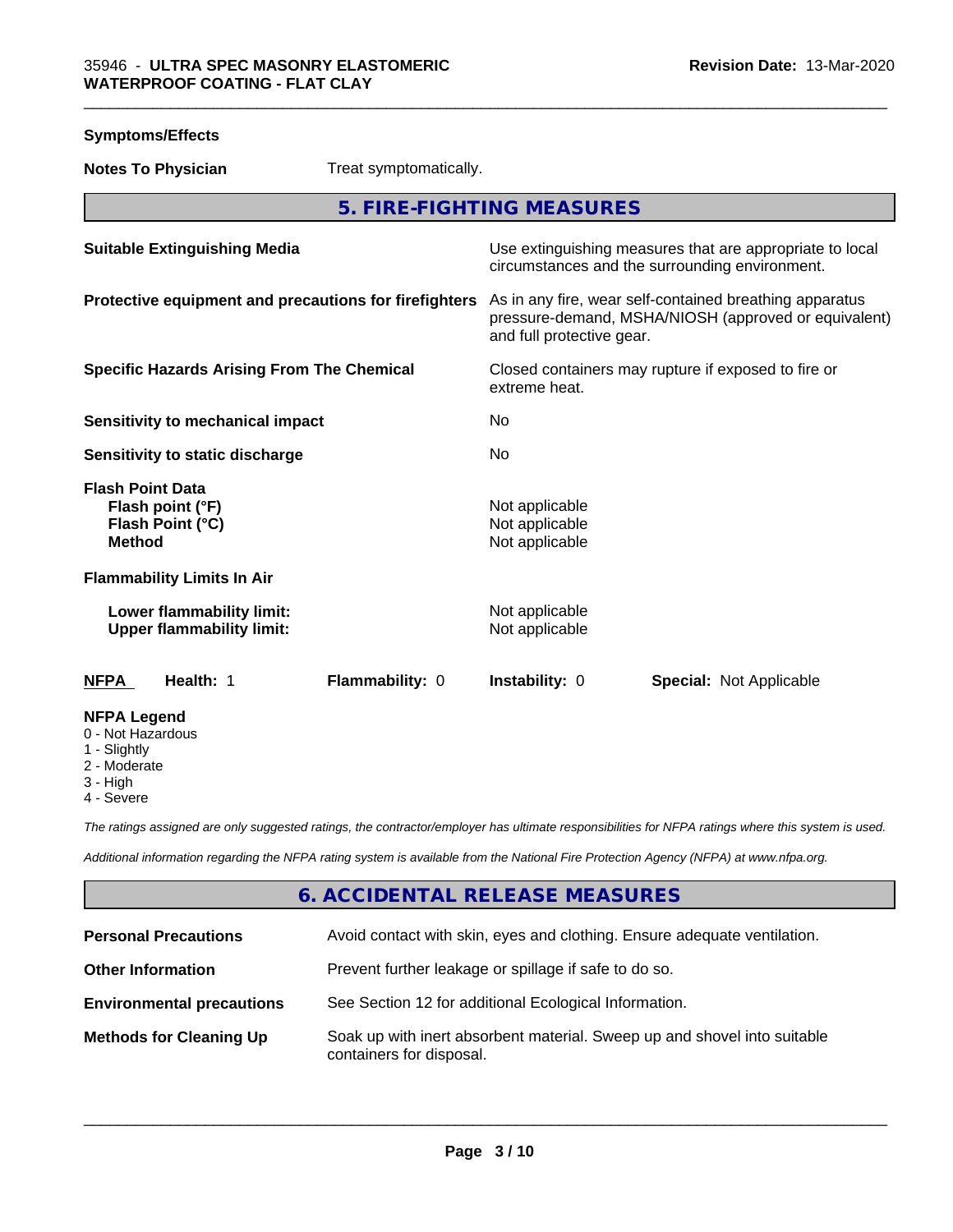| <b>Symptoms/Effects</b>                                                           |                                                                                                                                              |  |
|-----------------------------------------------------------------------------------|----------------------------------------------------------------------------------------------------------------------------------------------|--|
| <b>Notes To Physician</b><br>Treat symptomatically.                               |                                                                                                                                              |  |
|                                                                                   | 5. FIRE-FIGHTING MEASURES                                                                                                                    |  |
| <b>Suitable Extinguishing Media</b>                                               | Use extinguishing measures that are appropriate to local<br>circumstances and the surrounding environment.                                   |  |
| Protective equipment and precautions for firefighters                             | As in any fire, wear self-contained breathing apparatus<br>pressure-demand, MSHA/NIOSH (approved or equivalent)<br>and full protective gear. |  |
| <b>Specific Hazards Arising From The Chemical</b>                                 | Closed containers may rupture if exposed to fire or<br>extreme heat.                                                                         |  |
| Sensitivity to mechanical impact                                                  | No                                                                                                                                           |  |
| Sensitivity to static discharge                                                   | No                                                                                                                                           |  |
| <b>Flash Point Data</b><br>Flash point (°F)<br>Flash Point (°C)<br><b>Method</b>  | Not applicable<br>Not applicable<br>Not applicable                                                                                           |  |
| <b>Flammability Limits In Air</b>                                                 |                                                                                                                                              |  |
| Lower flammability limit:<br><b>Upper flammability limit:</b>                     | Not applicable<br>Not applicable                                                                                                             |  |
| Health: 1<br>Flammability: 0<br><b>NFPA</b>                                       | <b>Instability: 0</b><br><b>Special: Not Applicable</b>                                                                                      |  |
| <b>NFPA Legend</b><br>0 - Not Hazardous<br>1 - Slightly<br>2 - Moderate<br>o ⊔iah |                                                                                                                                              |  |

3 - High

4 - Severe

*The ratings assigned are only suggested ratings, the contractor/employer has ultimate responsibilities for NFPA ratings where this system is used.*

*Additional information regarding the NFPA rating system is available from the National Fire Protection Agency (NFPA) at www.nfpa.org.*

## **6. ACCIDENTAL RELEASE MEASURES**

| <b>Personal Precautions</b>      | Avoid contact with skin, eyes and clothing. Ensure adequate ventilation.                             |
|----------------------------------|------------------------------------------------------------------------------------------------------|
| <b>Other Information</b>         | Prevent further leakage or spillage if safe to do so.                                                |
| <b>Environmental precautions</b> | See Section 12 for additional Ecological Information.                                                |
| <b>Methods for Cleaning Up</b>   | Soak up with inert absorbent material. Sweep up and shovel into suitable<br>containers for disposal. |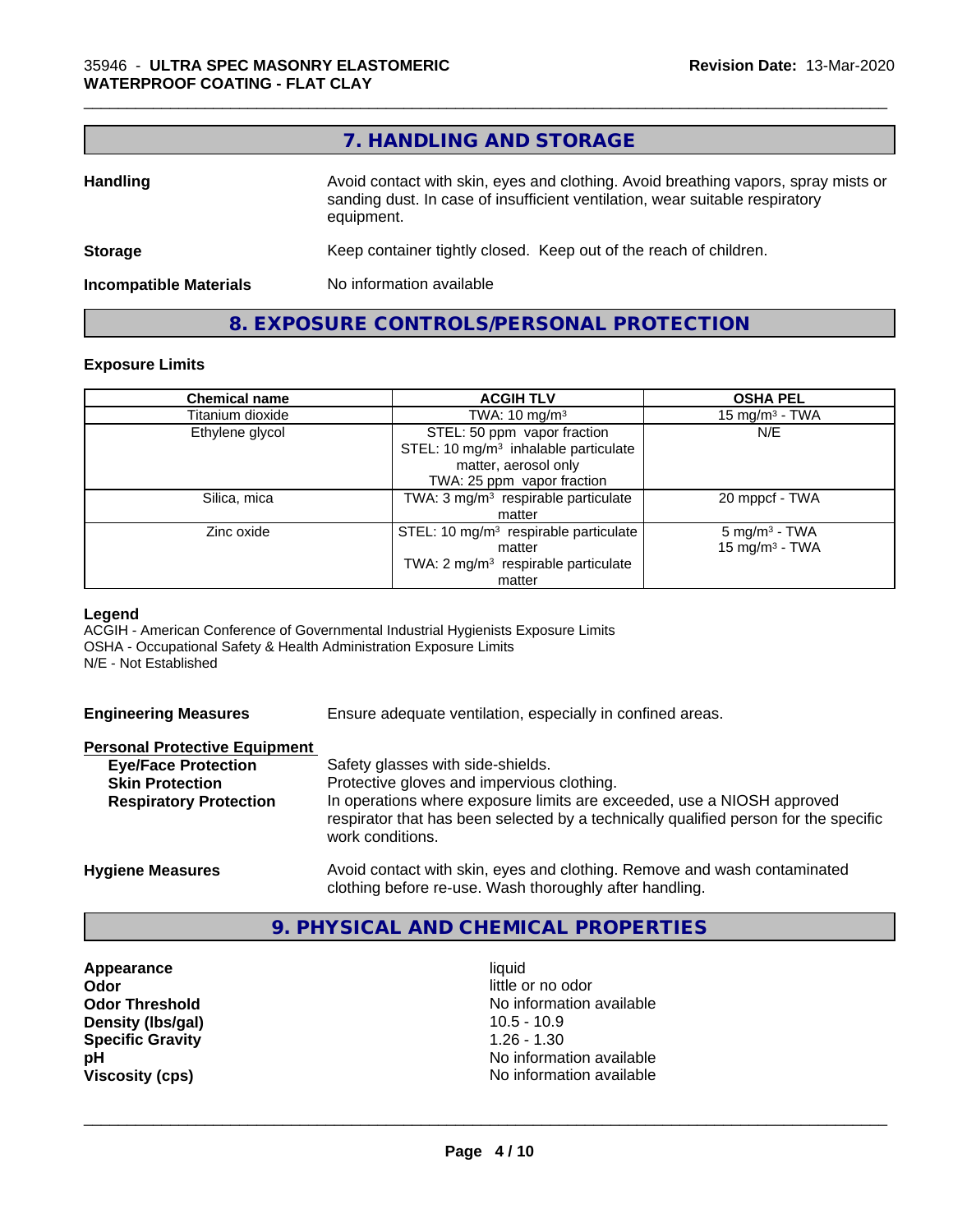## **7. HANDLING AND STORAGE**

| <b>Handling</b>               | Avoid contact with skin, eyes and clothing. Avoid breathing vapors, spray mists or<br>sanding dust. In case of insufficient ventilation, wear suitable respiratory<br>equipment. |  |
|-------------------------------|----------------------------------------------------------------------------------------------------------------------------------------------------------------------------------|--|
| <b>Storage</b>                | Keep container tightly closed. Keep out of the reach of children.                                                                                                                |  |
| <b>Incompatible Materials</b> | No information available                                                                                                                                                         |  |
|                               |                                                                                                                                                                                  |  |

## **8. EXPOSURE CONTROLS/PERSONAL PROTECTION**

#### **Exposure Limits**

| <b>Chemical name</b> | <b>ACGIH TLV</b>                                  | <b>OSHA PEL</b>          |
|----------------------|---------------------------------------------------|--------------------------|
| Titanium dioxide     | TWA: $10 \text{ mg/m}^3$                          | 15 mg/m $3$ - TWA        |
| Ethylene glycol      | STEL: 50 ppm vapor fraction                       | N/E                      |
|                      | STEL: 10 mg/m <sup>3</sup> inhalable particulate  |                          |
|                      | matter, aerosol only                              |                          |
|                      | TWA: 25 ppm vapor fraction                        |                          |
| Silica, mica         | TWA: 3 mg/m <sup>3</sup> respirable particulate   | 20 mppcf - TWA           |
|                      | matter                                            |                          |
| Zinc oxide           | STEL: 10 mg/m <sup>3</sup> respirable particulate | $5 \text{ mg/m}^3$ - TWA |
|                      | matter                                            | 15 mg/m $3$ - TWA        |
|                      | TWA: 2 mg/m <sup>3</sup> respirable particulate   |                          |
|                      | matter                                            |                          |

#### **Legend**

ACGIH - American Conference of Governmental Industrial Hygienists Exposure Limits OSHA - Occupational Safety & Health Administration Exposure Limits N/E - Not Established

| <b>Engineering Measures</b> |  |
|-----------------------------|--|
|                             |  |

Ensure adequate ventilation, especially in confined areas.

#### **Personal Protective Equipment**

| $\sim$ 0.001101 1 10.0001110 Equipment |                                                                                                                                                                                    |
|----------------------------------------|------------------------------------------------------------------------------------------------------------------------------------------------------------------------------------|
| <b>Eye/Face Protection</b>             | Safety glasses with side-shields.                                                                                                                                                  |
| <b>Skin Protection</b>                 | Protective gloves and impervious clothing.                                                                                                                                         |
| <b>Respiratory Protection</b>          | In operations where exposure limits are exceeded, use a NIOSH approved<br>respirator that has been selected by a technically qualified person for the specific<br>work conditions. |
| <b>Hygiene Measures</b>                | Avoid contact with skin, eyes and clothing. Remove and wash contaminated                                                                                                           |

## **9. PHYSICAL AND CHEMICAL PROPERTIES**

clothing before re-use. Wash thoroughly after handling.

**Appearance** liquid **Odor Odor** little or no odor<br> **Odor Threshold Containery of the Containery of the Containery of the Containery of the Containery of the Containery of the Containery of the Containery of the Containery of the Container Density (lbs/gal)** 10.5 - 10.9 **Specific Gravity** 1.26 - 1.30

**No information available pH pH**  $\blacksquare$ **Viscosity (cps)** No information available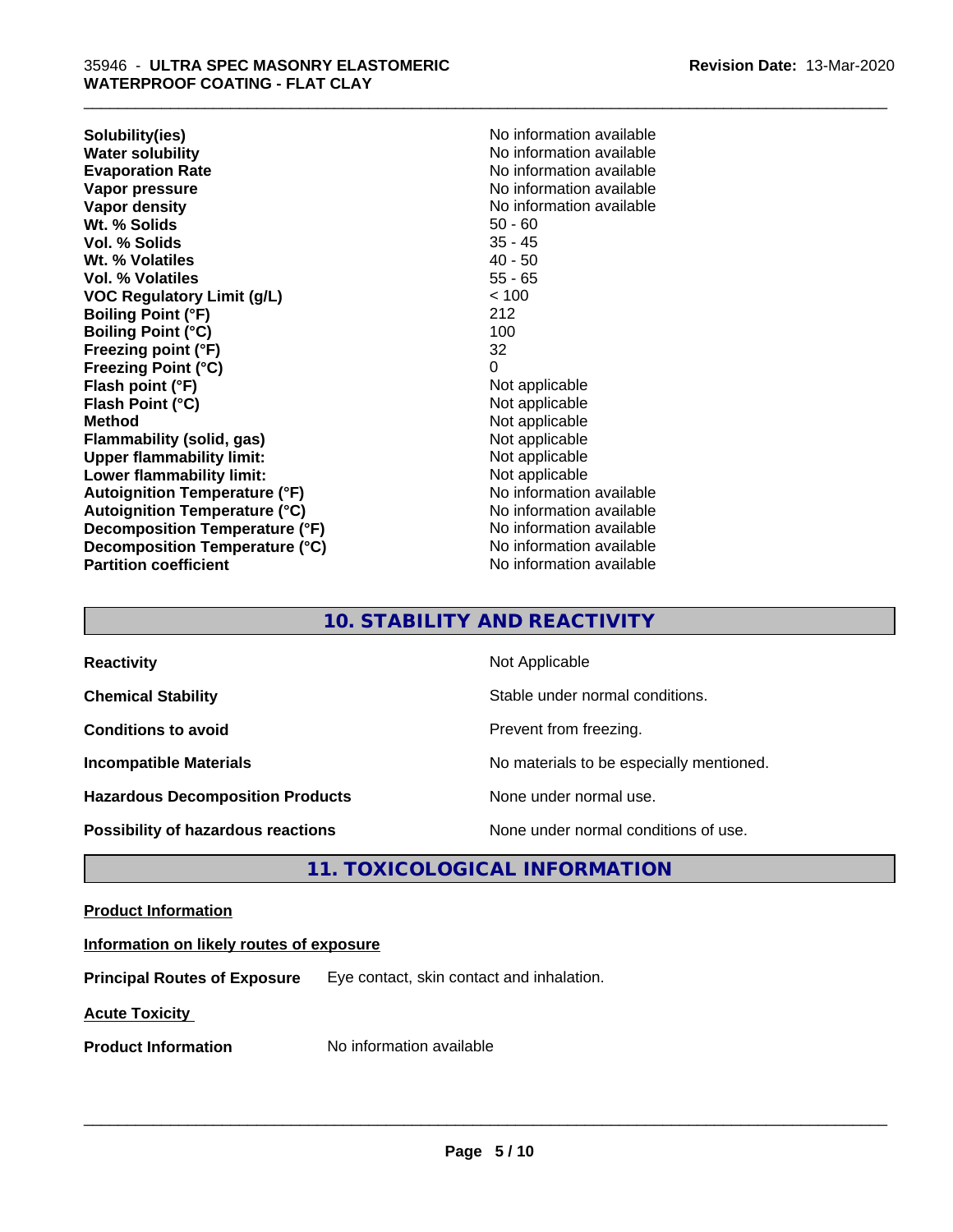**Solubility(ies)** No information available **Water solubility**<br> **Evaporation Rate**<br> **Evaporation Rate**<br> **Evaporation Rate Vapor pressure** No information available **Vapor density No information available No information available Wt. % Solids** 50 - 60 **Vol. % Solids** 35 - 45 Wt. % Volatiles **Vol. % Volatiles** 55 - 65 **VOC Regulatory Limit (g/L)** < 100 **Boiling Point (°F)** 212 **Boiling Point (°C)** 100 **Freezing point (°F)** 32 **Freezing Point (°C)** 0 **Flash point (°F)** Not applicable **Flash Point (°C)** Not applicable **Method** Not applicable **Flammability (solid, gas)** Not applicable **Upper flammability limit:**<br> **Lower flammability limit:**<br>
Not applicable<br>
Not applicable **Lower flammability limit: Autoignition Temperature (°F)** No information available **Autoignition Temperature (°C)** No information available **Decomposition Temperature (°F)** No information available **Decomposition Temperature (°C)** No information available **Partition coefficient CONSTRANSISTS No information available** 

**Evaporation Rate** No information available

\_\_\_\_\_\_\_\_\_\_\_\_\_\_\_\_\_\_\_\_\_\_\_\_\_\_\_\_\_\_\_\_\_\_\_\_\_\_\_\_\_\_\_\_\_\_\_\_\_\_\_\_\_\_\_\_\_\_\_\_\_\_\_\_\_\_\_\_\_\_\_\_\_\_\_\_\_\_\_\_\_\_\_\_\_\_\_\_\_\_\_\_\_

## **10. STABILITY AND REACTIVITY**

| <b>Reactivity</b>                       | Not Applicable                           |
|-----------------------------------------|------------------------------------------|
| <b>Chemical Stability</b>               | Stable under normal conditions.          |
| <b>Conditions to avoid</b>              | Prevent from freezing.                   |
| <b>Incompatible Materials</b>           | No materials to be especially mentioned. |
| <b>Hazardous Decomposition Products</b> | None under normal use.                   |
| Possibility of hazardous reactions      | None under normal conditions of use.     |

## **11. TOXICOLOGICAL INFORMATION**

#### **Product Information**

## **Information on likely routes of exposure**

**Principal Routes of Exposure** Eye contact, skin contact and inhalation.

**Acute Toxicity** 

**Product Information** No information available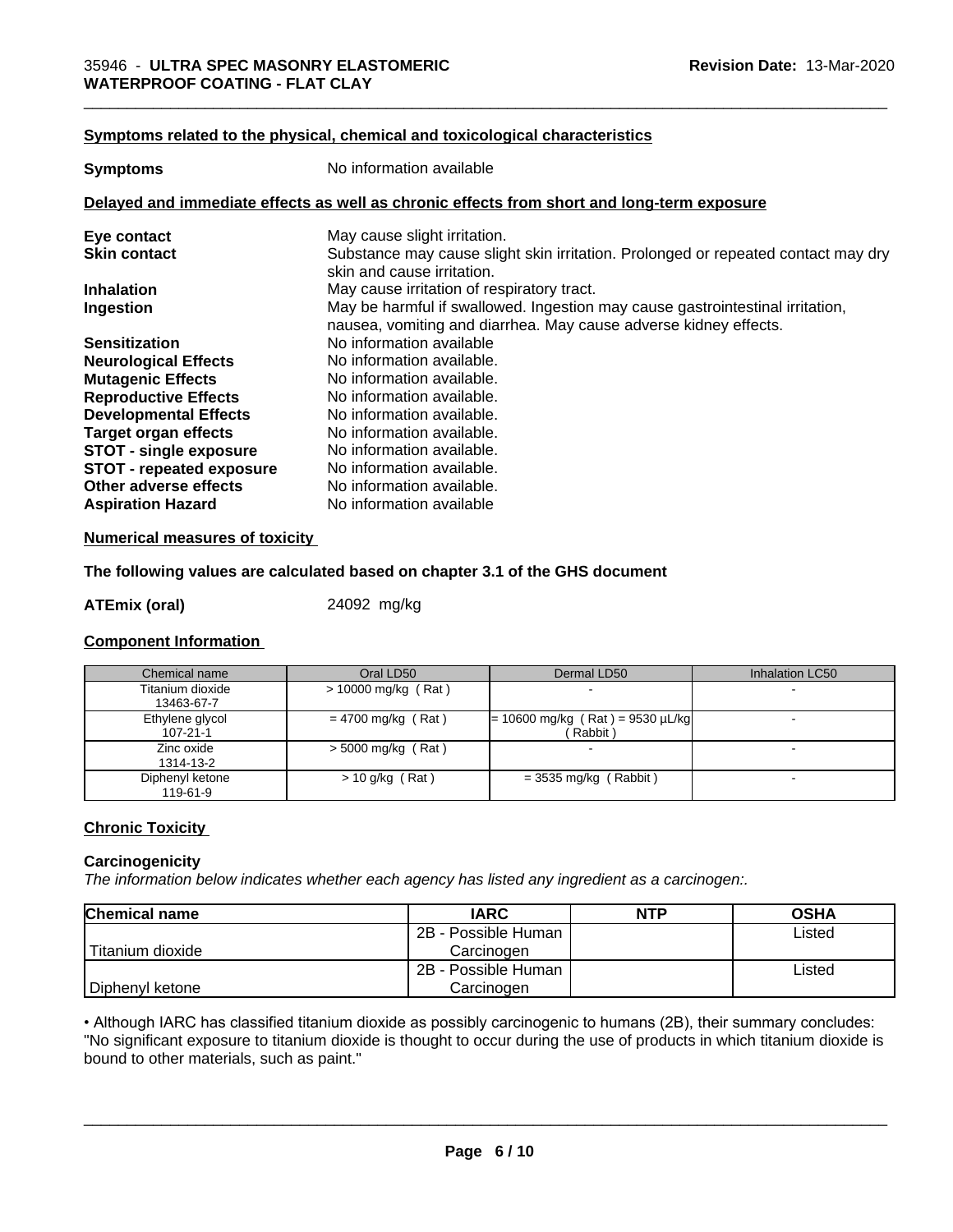#### **<u>Symptoms related to the physical, chemical and toxicological characteristics</u>**

| <b>Symptoms</b>                                                                            | No information available                                                                                                                          |  |  |
|--------------------------------------------------------------------------------------------|---------------------------------------------------------------------------------------------------------------------------------------------------|--|--|
| Delayed and immediate effects as well as chronic effects from short and long-term exposure |                                                                                                                                                   |  |  |
| Eye contact                                                                                | May cause slight irritation.                                                                                                                      |  |  |
| <b>Skin contact</b>                                                                        | Substance may cause slight skin irritation. Prolonged or repeated contact may dry<br>skin and cause irritation.                                   |  |  |
| <b>Inhalation</b>                                                                          | May cause irritation of respiratory tract.                                                                                                        |  |  |
| Ingestion                                                                                  | May be harmful if swallowed. Ingestion may cause gastrointestinal irritation,<br>nausea, vomiting and diarrhea. May cause adverse kidney effects. |  |  |
| <b>Sensitization</b>                                                                       | No information available                                                                                                                          |  |  |
| <b>Neurological Effects</b>                                                                | No information available.                                                                                                                         |  |  |
| <b>Mutagenic Effects</b>                                                                   | No information available.                                                                                                                         |  |  |
| <b>Reproductive Effects</b>                                                                | No information available.                                                                                                                         |  |  |
| <b>Developmental Effects</b>                                                               | No information available.                                                                                                                         |  |  |
| <b>Target organ effects</b>                                                                | No information available.                                                                                                                         |  |  |
| <b>STOT - single exposure</b>                                                              | No information available.                                                                                                                         |  |  |
| <b>STOT - repeated exposure</b>                                                            | No information available.                                                                                                                         |  |  |
| Other adverse effects                                                                      | No information available.                                                                                                                         |  |  |
| <b>Aspiration Hazard</b>                                                                   | No information available                                                                                                                          |  |  |

#### **Numerical measures of toxicity**

#### **The following values are calculated based on chapter 3.1 of the GHS document**

#### **ATEmix (oral)** 24092 mg/kg

#### **Component Information**

| Chemical name                     | Oral LD50             | Dermal LD50                                    | Inhalation LC50 |
|-----------------------------------|-----------------------|------------------------------------------------|-----------------|
| Titanium dioxide<br>13463-67-7    | $>$ 10000 mg/kg (Rat) |                                                |                 |
| Ethylene glycol<br>$107 - 21 - 1$ | $= 4700$ mg/kg (Rat)  | $= 10600$ mg/kg (Rat) = 9530 µL/kg<br>(Rabbit) |                 |
| Zinc oxide<br>1314-13-2           | $>$ 5000 mg/kg (Rat)  |                                                |                 |
| Diphenyl ketone<br>119-61-9       | $> 10$ g/kg (Rat)     | $=$ 3535 mg/kg (Rabbit)                        |                 |

#### **Chronic Toxicity**

#### **Carcinogenicity**

*The information below indicateswhether each agency has listed any ingredient as a carcinogen:.*

| <b>Chemical name</b> | <b>IARC</b>         | <b>NTP</b> | <b>OSHA</b> |
|----------------------|---------------------|------------|-------------|
|                      | 2B - Possible Human |            | Listed      |
| Titanium dioxide     | Carcinoɑen          |            |             |
|                      | 2B - Possible Human |            | Listed      |
| Diphenyl ketone      | Carcinogen          |            |             |

• Although IARC has classified titanium dioxide as possibly carcinogenic to humans (2B), their summary concludes: "No significant exposure to titanium dioxide is thought to occur during the use of products in which titanium dioxide is bound to other materials, such as paint."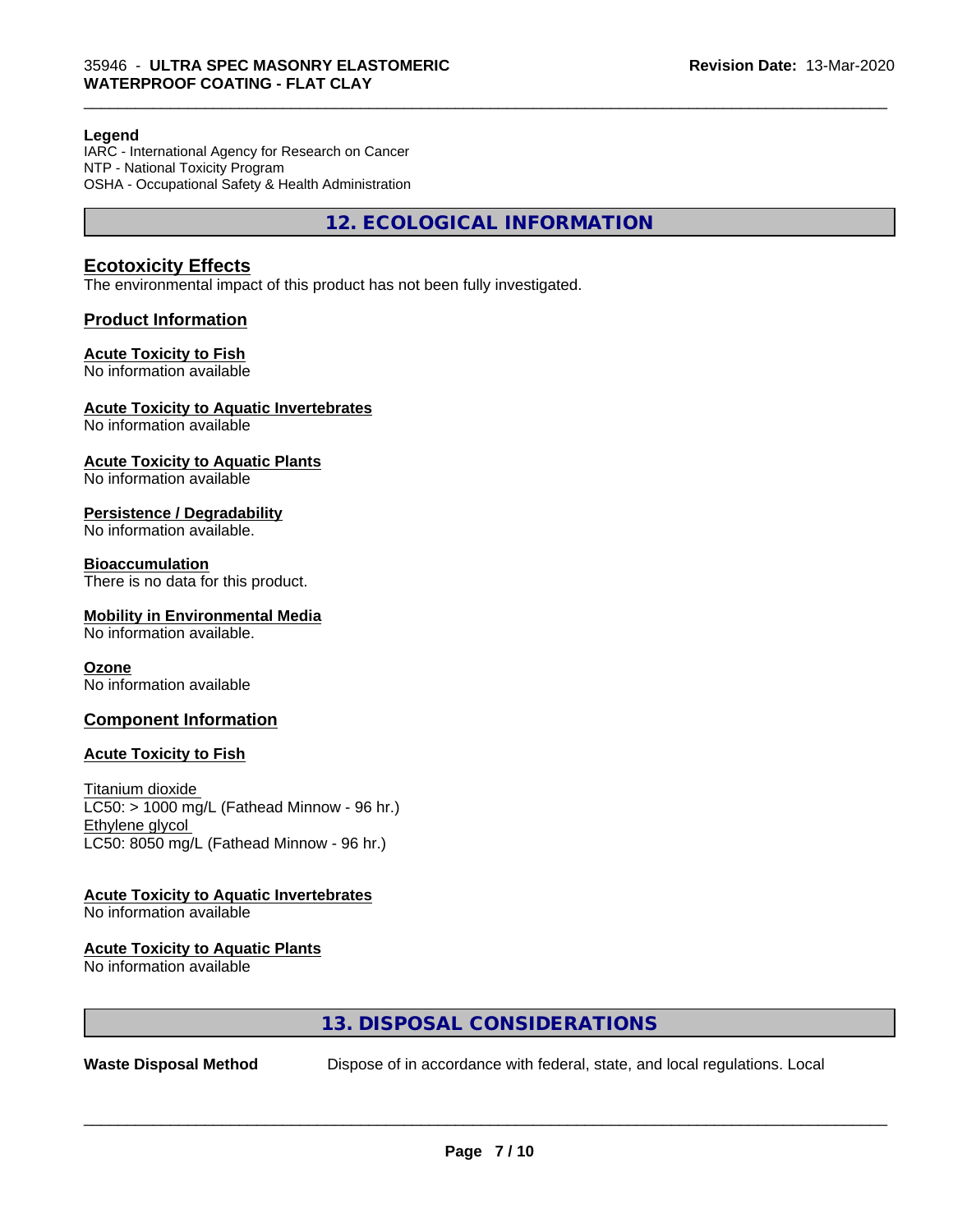#### **Legend**

IARC - International Agency for Research on Cancer NTP - National Toxicity Program OSHA - Occupational Safety & Health Administration

**12. ECOLOGICAL INFORMATION**

\_\_\_\_\_\_\_\_\_\_\_\_\_\_\_\_\_\_\_\_\_\_\_\_\_\_\_\_\_\_\_\_\_\_\_\_\_\_\_\_\_\_\_\_\_\_\_\_\_\_\_\_\_\_\_\_\_\_\_\_\_\_\_\_\_\_\_\_\_\_\_\_\_\_\_\_\_\_\_\_\_\_\_\_\_\_\_\_\_\_\_\_\_

#### **Ecotoxicity Effects**

The environmental impact of this product has not been fully investigated.

#### **Product Information**

#### **Acute Toxicity to Fish**

No information available

#### **Acute Toxicity to Aquatic Invertebrates**

No information available

## **Acute Toxicity to Aquatic Plants**

No information available

#### **Persistence / Degradability**

No information available.

#### **Bioaccumulation**

There is no data for this product.

#### **Mobility in Environmental Media**

No information available.

#### **Ozone**

No information available

#### **Component Information**

#### **Acute Toxicity to Fish**

Titanium dioxide  $LC50:$  > 1000 mg/L (Fathead Minnow - 96 hr.) Ethylene glycol LC50: 8050 mg/L (Fathead Minnow - 96 hr.)

#### **Acute Toxicity to Aquatic Invertebrates**

No information available

#### **Acute Toxicity to Aquatic Plants**

No information available

## **13. DISPOSAL CONSIDERATIONS**

**Waste Disposal Method** Dispose of in accordance with federal, state, and local regulations. Local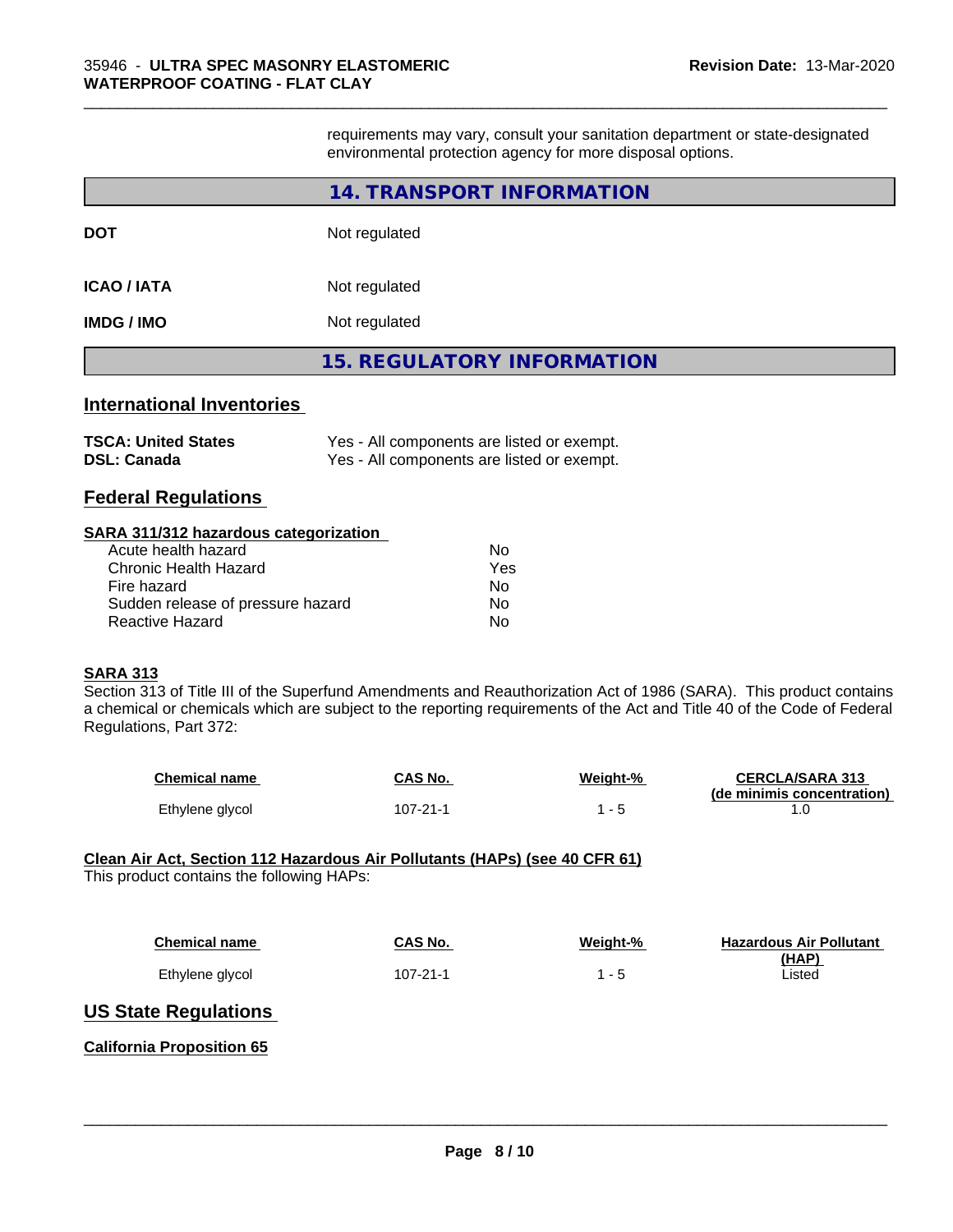requirements may vary, consult your sanitation department or state-designated environmental protection agency for more disposal options.

\_\_\_\_\_\_\_\_\_\_\_\_\_\_\_\_\_\_\_\_\_\_\_\_\_\_\_\_\_\_\_\_\_\_\_\_\_\_\_\_\_\_\_\_\_\_\_\_\_\_\_\_\_\_\_\_\_\_\_\_\_\_\_\_\_\_\_\_\_\_\_\_\_\_\_\_\_\_\_\_\_\_\_\_\_\_\_\_\_\_\_\_\_

|                                                  | 14. TRANSPORT INFORMATION                                                                |  |  |  |
|--------------------------------------------------|------------------------------------------------------------------------------------------|--|--|--|
| DOT                                              | Not regulated                                                                            |  |  |  |
| <b>ICAO / IATA</b>                               | Not regulated                                                                            |  |  |  |
| IMDG / IMO                                       | Not regulated                                                                            |  |  |  |
|                                                  | <b>15. REGULATORY INFORMATION</b>                                                        |  |  |  |
| <b>International Inventories</b>                 |                                                                                          |  |  |  |
| <b>TSCA: United States</b><br><b>DSL: Canada</b> | Yes - All components are listed or exempt.<br>Yes - All components are listed or exempt. |  |  |  |

## **Federal Regulations**

#### **SARA 311/312 hazardous categorization**

| Acute health hazard               | Nο  |
|-----------------------------------|-----|
| Chronic Health Hazard             | Yes |
| Fire hazard                       | Nο  |
| Sudden release of pressure hazard | Nο  |
| Reactive Hazard                   | N٥  |

#### **SARA 313**

Section 313 of Title III of the Superfund Amendments and Reauthorization Act of 1986 (SARA). This product contains a chemical or chemicals which are subject to the reporting requirements of the Act and Title 40 of the Code of Federal Regulations, Part 372:

| <b>Chemical name</b> | CAS No.  | Weight-% | <b>CERCLA/SARA 313</b>     |
|----------------------|----------|----------|----------------------------|
|                      |          |          | (de minimis concentration) |
| Ethylene glycol      | 107-21-1 |          |                            |

#### **Clean Air Act,Section 112 Hazardous Air Pollutants (HAPs) (see 40 CFR 61)** This product contains the following HAPs:

| <b>Chemical name</b> | CAS No.        | Weight-% | <b>Hazardous Air Pollutant</b><br>(HAP) |
|----------------------|----------------|----------|-----------------------------------------|
| Ethylene glycol      | $107 - 21 - 1$ | 1 - 5    | Listed                                  |

 $\overline{\phantom{a}}$  ,  $\overline{\phantom{a}}$  ,  $\overline{\phantom{a}}$  ,  $\overline{\phantom{a}}$  ,  $\overline{\phantom{a}}$  ,  $\overline{\phantom{a}}$  ,  $\overline{\phantom{a}}$  ,  $\overline{\phantom{a}}$  ,  $\overline{\phantom{a}}$  ,  $\overline{\phantom{a}}$  ,  $\overline{\phantom{a}}$  ,  $\overline{\phantom{a}}$  ,  $\overline{\phantom{a}}$  ,  $\overline{\phantom{a}}$  ,  $\overline{\phantom{a}}$  ,  $\overline{\phantom{a}}$ 

## **US State Regulations**

#### **California Proposition 65**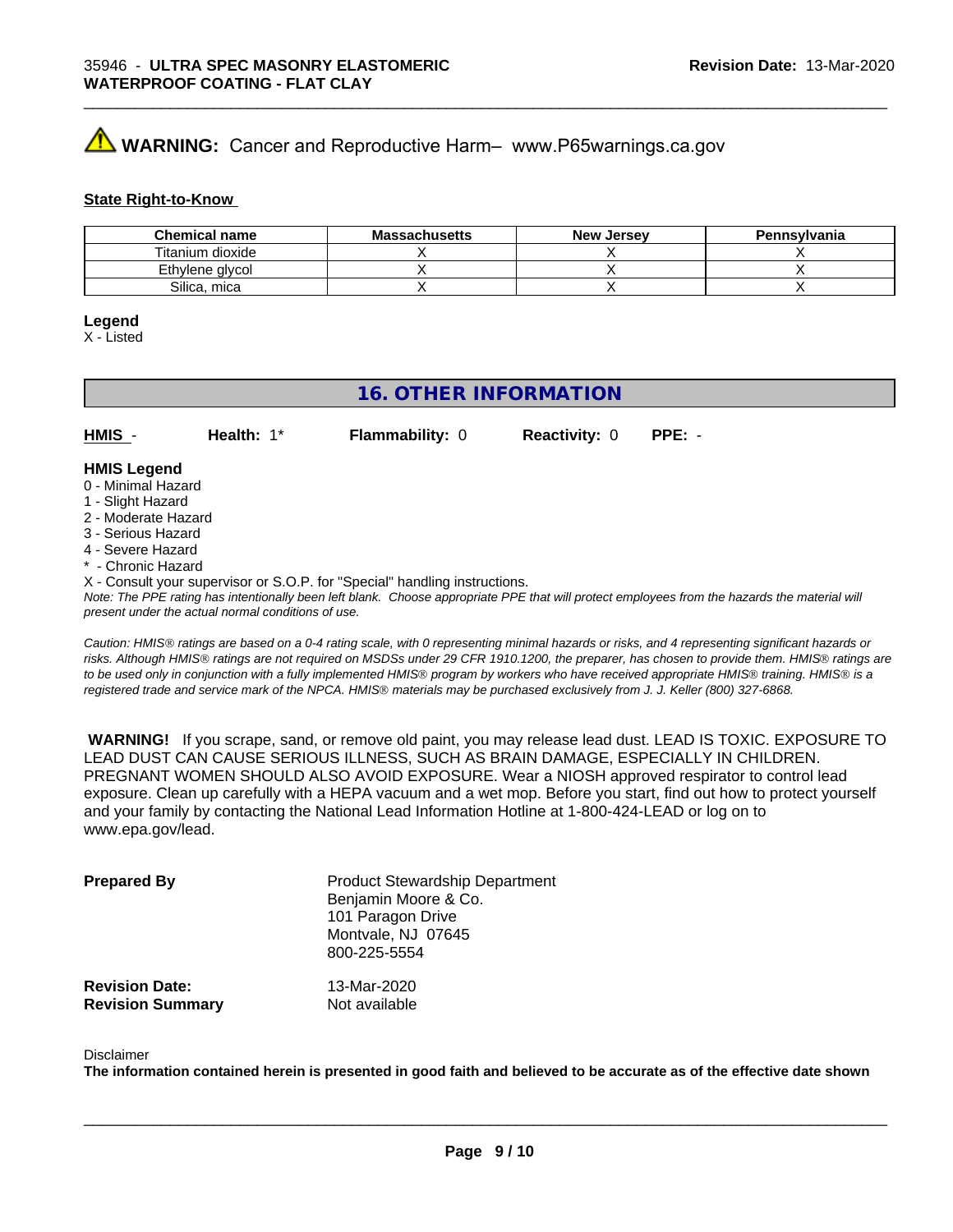## **WARNING:** Cancer and Reproductive Harm– www.P65warnings.ca.gov

#### **State Right-to-Know**

| <b>Chemical name</b> | <b>Massachusetts</b> | <b>New Jersey</b> | Pennsylvania |
|----------------------|----------------------|-------------------|--------------|
| Titanium dioxide     |                      |                   |              |
| Ethylene alvcol      |                      |                   |              |
| Silica, mica         |                      |                   |              |

\_\_\_\_\_\_\_\_\_\_\_\_\_\_\_\_\_\_\_\_\_\_\_\_\_\_\_\_\_\_\_\_\_\_\_\_\_\_\_\_\_\_\_\_\_\_\_\_\_\_\_\_\_\_\_\_\_\_\_\_\_\_\_\_\_\_\_\_\_\_\_\_\_\_\_\_\_\_\_\_\_\_\_\_\_\_\_\_\_\_\_\_\_

#### **Legend**

X - Listed

## **16. OTHER INFORMATION**

**HMIS** - **Health:** 1\* **Flammability:** 0 **Reactivity:** 0 **PPE:** -

#### **HMIS Legend**

- 0 Minimal Hazard
- 1 Slight Hazard
- 2 Moderate Hazard
- 3 Serious Hazard
- 4 Severe Hazard
- Chronic Hazard
- X Consult your supervisor or S.O.P. for "Special" handling instructions.

*Note: The PPE rating has intentionally been left blank. Choose appropriate PPE that will protect employees from the hazards the material will present under the actual normal conditions of use.*

*Caution: HMISÒ ratings are based on a 0-4 rating scale, with 0 representing minimal hazards or risks, and 4 representing significant hazards or risks. Although HMISÒ ratings are not required on MSDSs under 29 CFR 1910.1200, the preparer, has chosen to provide them. HMISÒ ratings are to be used only in conjunction with a fully implemented HMISÒ program by workers who have received appropriate HMISÒ training. HMISÒ is a registered trade and service mark of the NPCA. HMISÒ materials may be purchased exclusively from J. J. Keller (800) 327-6868.*

 **WARNING!** If you scrape, sand, or remove old paint, you may release lead dust. LEAD IS TOXIC. EXPOSURE TO LEAD DUST CAN CAUSE SERIOUS ILLNESS, SUCH AS BRAIN DAMAGE, ESPECIALLY IN CHILDREN. PREGNANT WOMEN SHOULD ALSO AVOID EXPOSURE.Wear a NIOSH approved respirator to control lead exposure. Clean up carefully with a HEPA vacuum and a wet mop. Before you start, find out how to protect yourself and your family by contacting the National Lead Information Hotline at 1-800-424-LEAD or log on to www.epa.gov/lead.

| <b>Prepared By</b>                               | <b>Product Stewardship Department</b><br>Benjamin Moore & Co.<br>101 Paragon Drive<br>Montvale, NJ 07645<br>800-225-5554 |  |
|--------------------------------------------------|--------------------------------------------------------------------------------------------------------------------------|--|
| <b>Revision Date:</b><br><b>Revision Summary</b> | 13-Mar-2020<br>Not available                                                                                             |  |

#### Disclaimer

The information contained herein is presented in good faith and believed to be accurate as of the effective date shown